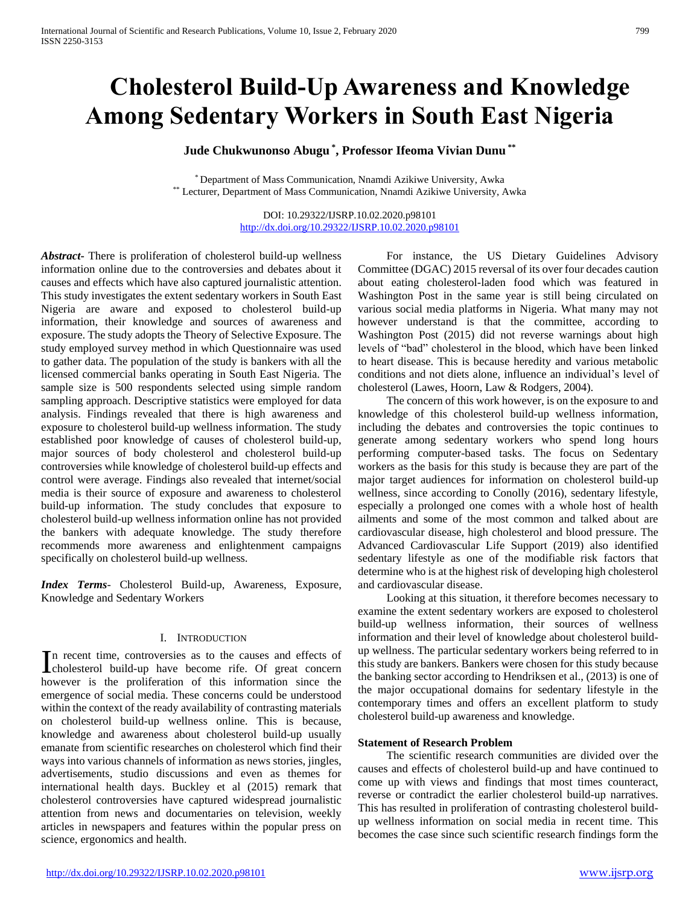# **Cholesterol Build-Up Awareness and Knowledge Among Sedentary Workers in South East Nigeria**

# **Jude Chukwunonso Abugu \* , Professor Ifeoma Vivian Dunu \*\***

\* Department of Mass Communication, Nnamdi Azikiwe University, Awka \*\* Lecturer, Department of Mass Communication, Nnamdi Azikiwe University, Awka

> DOI: 10.29322/IJSRP.10.02.2020.p98101 <http://dx.doi.org/10.29322/IJSRP.10.02.2020.p98101>

*Abstract***-** There is proliferation of cholesterol build-up wellness information online due to the controversies and debates about it causes and effects which have also captured journalistic attention. This study investigates the extent sedentary workers in South East Nigeria are aware and exposed to cholesterol build-up information, their knowledge and sources of awareness and exposure. The study adopts the Theory of Selective Exposure. The study employed survey method in which Questionnaire was used to gather data. The population of the study is bankers with all the licensed commercial banks operating in South East Nigeria. The sample size is 500 respondents selected using simple random sampling approach. Descriptive statistics were employed for data analysis. Findings revealed that there is high awareness and exposure to cholesterol build-up wellness information. The study established poor knowledge of causes of cholesterol build-up, major sources of body cholesterol and cholesterol build-up controversies while knowledge of cholesterol build-up effects and control were average. Findings also revealed that internet/social media is their source of exposure and awareness to cholesterol build-up information. The study concludes that exposure to cholesterol build-up wellness information online has not provided the bankers with adequate knowledge. The study therefore recommends more awareness and enlightenment campaigns specifically on cholesterol build-up wellness.

*Index Terms*- Cholesterol Build-up, Awareness, Exposure, Knowledge and Sedentary Workers

#### I. INTRODUCTION

n recent time, controversies as to the causes and effects of In recent time, controversies as to the causes and effects of cholesterol build-up have become rife. Of great concern however is the proliferation of this information since the emergence of social media. These concerns could be understood within the context of the ready availability of contrasting materials on cholesterol build-up wellness online. This is because, knowledge and awareness about cholesterol build-up usually emanate from scientific researches on cholesterol which find their ways into various channels of information as news stories, jingles, advertisements, studio discussions and even as themes for international health days. Buckley et al (2015) remark that cholesterol controversies have captured widespread journalistic attention from news and documentaries on television, weekly articles in newspapers and features within the popular press on science, ergonomics and health.

 For instance, the US Dietary Guidelines Advisory Committee (DGAC) 2015 reversal of its over four decades caution about eating cholesterol-laden food which was featured in Washington Post in the same year is still being circulated on various social media platforms in Nigeria. What many may not however understand is that the committee, according to Washington Post (2015) did not reverse warnings about high levels of "bad" cholesterol in the blood, which have been linked to heart disease. This is because heredity and various metabolic conditions and not diets alone, influence an individual's level of cholesterol (Lawes, Hoorn, Law & Rodgers, 2004).

 The concern of this work however, is on the exposure to and knowledge of this cholesterol build-up wellness information, including the debates and controversies the topic continues to generate among sedentary workers who spend long hours performing computer-based tasks. The focus on Sedentary workers as the basis for this study is because they are part of the major target audiences for information on cholesterol build-up wellness, since according to Conolly (2016), sedentary lifestyle, especially a prolonged one comes with a whole host of health ailments and some of the most common and talked about are cardiovascular disease, high cholesterol and blood pressure. The Advanced Cardiovascular Life Support (2019) also identified sedentary lifestyle as one of the modifiable risk factors that determine who is at the highest risk of developing high cholesterol and cardiovascular disease.

 Looking at this situation, it therefore becomes necessary to examine the extent sedentary workers are exposed to cholesterol build-up wellness information, their sources of wellness information and their level of knowledge about cholesterol buildup wellness. The particular sedentary workers being referred to in this study are bankers. Bankers were chosen for this study because the banking sector according to Hendriksen et al., (2013) is one of the major occupational domains for sedentary lifestyle in the contemporary times and offers an excellent platform to study cholesterol build-up awareness and knowledge.

## **Statement of Research Problem**

 The scientific research communities are divided over the causes and effects of cholesterol build-up and have continued to come up with views and findings that most times counteract, reverse or contradict the earlier cholesterol build-up narratives. This has resulted in proliferation of contrasting cholesterol buildup wellness information on social media in recent time. This becomes the case since such scientific research findings form the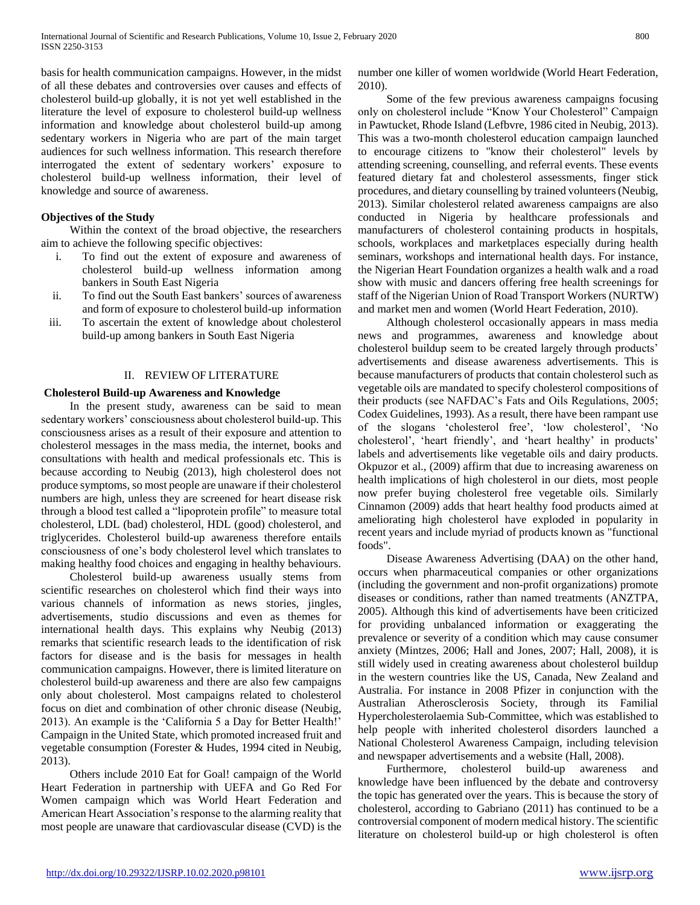basis for health communication campaigns. However, in the midst of all these debates and controversies over causes and effects of cholesterol build-up globally, it is not yet well established in the literature the level of exposure to cholesterol build-up wellness information and knowledge about cholesterol build-up among sedentary workers in Nigeria who are part of the main target audiences for such wellness information. This research therefore interrogated the extent of sedentary workers' exposure to cholesterol build-up wellness information, their level of knowledge and source of awareness.

## **Objectives of the Study**

 Within the context of the broad objective, the researchers aim to achieve the following specific objectives:

- i. To find out the extent of exposure and awareness of cholesterol build-up wellness information among bankers in South East Nigeria
- ii. To find out the South East bankers' sources of awareness and form of exposure to cholesterol build-up information
- iii. To ascertain the extent of knowledge about cholesterol build-up among bankers in South East Nigeria

## II. REVIEW OF LITERATURE

## **Cholesterol Build-up Awareness and Knowledge**

 In the present study, awareness can be said to mean sedentary workers' consciousness about cholesterol build-up. This consciousness arises as a result of their exposure and attention to cholesterol messages in the mass media, the internet, books and consultations with health and medical professionals etc. This is because according to Neubig (2013), high cholesterol does not produce symptoms, so most people are unaware if their cholesterol numbers are high, unless they are screened for heart disease risk through a blood test called a "lipoprotein profile" to measure total cholesterol, LDL (bad) cholesterol, HDL (good) cholesterol, and triglycerides. Cholesterol build-up awareness therefore entails consciousness of one's body cholesterol level which translates to making healthy food choices and engaging in healthy behaviours.

 Cholesterol build-up awareness usually stems from scientific researches on cholesterol which find their ways into various channels of information as news stories, jingles, advertisements, studio discussions and even as themes for international health days. This explains why Neubig (2013) remarks that scientific research leads to the identification of risk factors for disease and is the basis for messages in health communication campaigns. However, there is limited literature on cholesterol build-up awareness and there are also few campaigns only about cholesterol. Most campaigns related to cholesterol focus on diet and combination of other chronic disease (Neubig, 2013). An example is the 'California 5 a Day for Better Health!' Campaign in the United State, which promoted increased fruit and vegetable consumption (Forester & Hudes, 1994 cited in Neubig, 2013).

 Others include 2010 Eat for Goal! campaign of the World Heart Federation in partnership with UEFA and Go Red For Women campaign which was World Heart Federation and American Heart Association's response to the alarming reality that most people are unaware that cardiovascular disease (CVD) is the number one killer of women worldwide (World Heart Federation, 2010).

 Some of the few previous awareness campaigns focusing only on cholesterol include "Know Your Cholesterol" Campaign in Pawtucket, Rhode Island (Lefbvre, 1986 cited in Neubig, 2013). This was a two-month cholesterol education campaign launched to encourage citizens to "know their cholesterol" levels by attending screening, counselling, and referral events. These events featured dietary fat and cholesterol assessments, finger stick procedures, and dietary counselling by trained volunteers (Neubig, 2013). Similar cholesterol related awareness campaigns are also conducted in Nigeria by healthcare professionals and manufacturers of cholesterol containing products in hospitals, schools, workplaces and marketplaces especially during health seminars, workshops and international health days. For instance, the Nigerian Heart Foundation organizes a health walk and a road show with music and dancers offering free health screenings for staff of the Nigerian Union of Road Transport Workers (NURTW) and market men and women (World Heart Federation, 2010).

 Although cholesterol occasionally appears in mass media news and programmes, awareness and knowledge about cholesterol buildup seem to be created largely through products' advertisements and disease awareness advertisements. This is because manufacturers of products that contain cholesterol such as vegetable oils are mandated to specify cholesterol compositions of their products (see NAFDAC's Fats and Oils Regulations, 2005; Codex Guidelines, 1993). As a result, there have been rampant use of the slogans 'cholesterol free', 'low cholesterol', 'No cholesterol', 'heart friendly', and 'heart healthy' in products' labels and advertisements like vegetable oils and dairy products. Okpuzor et al., (2009) affirm that due to increasing awareness on health implications of high cholesterol in our diets, most people now prefer buying cholesterol free vegetable oils. Similarly Cinnamon (2009) adds that heart healthy food products aimed at ameliorating high cholesterol have exploded in popularity in recent years and include myriad of products known as "functional foods".

 Disease Awareness Advertising (DAA) on the other hand, occurs when pharmaceutical companies or other organizations (including the government and non-profit organizations) promote diseases or conditions, rather than named treatments (ANZTPA, 2005). Although this kind of advertisements have been criticized for providing unbalanced information or exaggerating the prevalence or severity of a condition which may cause consumer anxiety (Mintzes, 2006; Hall and Jones, 2007; Hall, 2008), it is still widely used in creating awareness about cholesterol buildup in the western countries like the US, Canada, New Zealand and Australia. For instance in 2008 Pfizer in conjunction with the Australian Atherosclerosis Society, through its Familial Hypercholesterolaemia Sub-Committee, which was established to help people with inherited cholesterol disorders launched a National Cholesterol Awareness Campaign, including television and newspaper advertisements and a website (Hall, 2008).

 Furthermore, cholesterol build-up awareness and knowledge have been influenced by the debate and controversy the topic has generated over the years. This is because the story of cholesterol, according to Gabriano (2011) has continued to be a controversial component of modern medical history. The scientific literature on cholesterol build-up or high cholesterol is often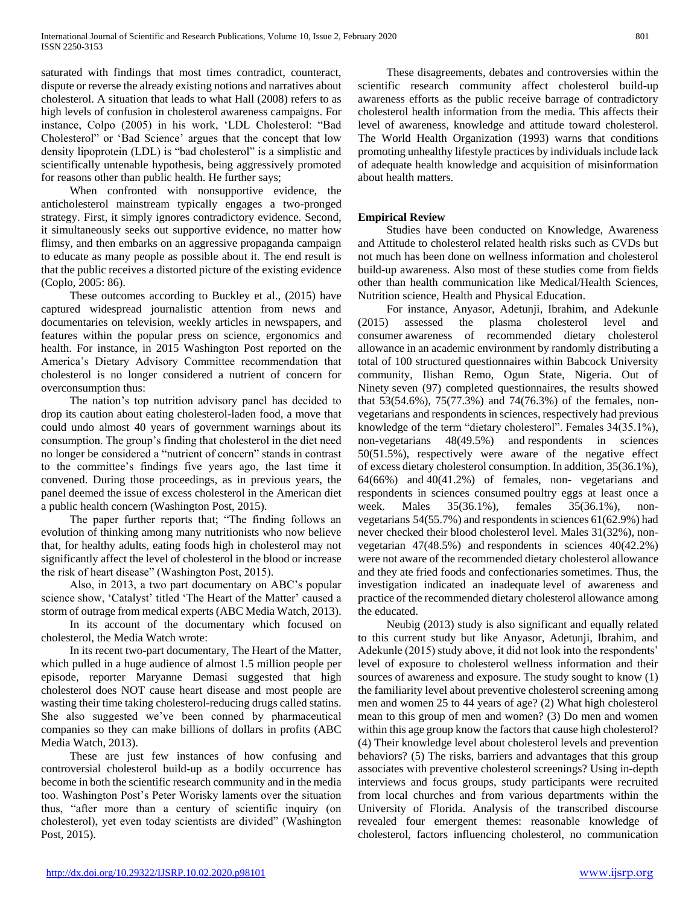saturated with findings that most times contradict, counteract, dispute or reverse the already existing notions and narratives about cholesterol. A situation that leads to what Hall (2008) refers to as high levels of confusion in cholesterol awareness campaigns. For instance, Colpo (2005) in his work, 'LDL Cholesterol: "Bad Cholesterol" or 'Bad Science' argues that the concept that low density lipoprotein (LDL) is "bad cholesterol" is a simplistic and scientifically untenable hypothesis, being aggressively promoted for reasons other than public health. He further says;

 When confronted with nonsupportive evidence, the anticholesterol mainstream typically engages a two-pronged strategy. First, it simply ignores contradictory evidence. Second, it simultaneously seeks out supportive evidence, no matter how flimsy, and then embarks on an aggressive propaganda campaign to educate as many people as possible about it. The end result is that the public receives a distorted picture of the existing evidence (Coplo, 2005: 86).

 These outcomes according to Buckley et al., (2015) have captured widespread journalistic attention from news and documentaries on television, weekly articles in newspapers, and features within the popular press on science, ergonomics and health. For instance, in 2015 Washington Post reported on the America's Dietary Advisory Committee recommendation that cholesterol is no longer considered a nutrient of concern for overconsumption thus:

 The nation's top nutrition advisory panel has decided to drop its caution about eating cholesterol-laden food, a move that could undo almost 40 years of government warnings about its consumption. The group's finding that cholesterol in the diet need no longer be considered a "nutrient of concern" stands in contrast to the committee's findings five years ago, the last time it convened. During those proceedings, as in previous years, the panel deemed the issue of excess cholesterol in the American diet a public health concern (Washington Post, 2015).

 The paper further reports that; "The finding follows an evolution of thinking among many nutritionists who now believe that, for healthy adults, eating foods high in cholesterol may not significantly affect the level of cholesterol in the blood or increase the risk of heart disease" (Washington Post, 2015).

 Also, in 2013, a two part documentary on ABC's popular science show, 'Catalyst' titled 'The Heart of the Matter' caused a storm of outrage from medical experts (ABC Media Watch, 2013).

 In its account of the documentary which focused on cholesterol, the Media Watch wrote:

 In its recent two-part documentary, The Heart of the Matter, which pulled in a huge audience of almost 1.5 million people per episode, reporter Maryanne Demasi suggested that high cholesterol does NOT cause heart disease and most people are wasting their time taking cholesterol-reducing drugs called statins. She also suggested we've been conned by pharmaceutical companies so they can make billions of dollars in profits (ABC Media Watch, 2013).

 These are just few instances of how confusing and controversial cholesterol build-up as a bodily occurrence has become in both the scientific research community and in the media too. Washington Post's Peter Worisky laments over the situation thus, "after more than a century of scientific inquiry (on cholesterol), yet even today scientists are divided" (Washington Post, 2015).

 These disagreements, debates and controversies within the scientific research community affect cholesterol build-up awareness efforts as the public receive barrage of contradictory cholesterol health information from the media. This affects their level of awareness, knowledge and attitude toward cholesterol. The World Health Organization (1993) warns that conditions promoting unhealthy lifestyle practices by individuals include lack of adequate health knowledge and acquisition of misinformation about health matters.

# **Empirical Review**

 Studies have been conducted on Knowledge, Awareness and Attitude to cholesterol related health risks such as CVDs but not much has been done on wellness information and cholesterol build-up awareness. Also most of these studies come from fields other than health communication like Medical/Health Sciences, Nutrition science, Health and Physical Education.

 For instance, Anyasor, Adetunji, Ibrahim, and Adekunle (2015) assessed the plasma cholesterol level and consumer awareness of recommended dietary cholesterol allowance in an academic environment by randomly distributing a total of 100 structured questionnaires within Babcock University community, Ilishan Remo, Ogun State, Nigeria. Out of Ninety seven (97) completed questionnaires, the results showed that 53(54.6%), 75(77.3%) and 74(76.3%) of the females, nonvegetarians and respondents in sciences, respectively had previous knowledge of the term "dietary cholesterol". Females 34(35.1%), non-vegetarians 48(49.5%) and respondents in sciences 50(51.5%), respectively were aware of the negative effect of excess dietary cholesterol consumption. In addition, 35(36.1%), 64(66%) and 40(41.2%) of females, non- vegetarians and respondents in sciences consumed poultry eggs at least once a week. Males 35(36.1%), females 35(36.1%), nonvegetarians 54(55.7%) and respondents in sciences 61(62.9%) had never checked their blood cholesterol level. Males 31(32%), nonvegetarian 47(48.5%) and respondents in sciences 40(42.2%) were not aware of the recommended dietary cholesterol allowance and they ate fried foods and confectionaries sometimes. Thus, the investigation indicated an inadequate level of awareness and practice of the recommended dietary cholesterol allowance among the educated.

 Neubig (2013) study is also significant and equally related to this current study but like Anyasor, Adetunji, Ibrahim, and Adekunle (2015) study above, it did not look into the respondents' level of exposure to cholesterol wellness information and their sources of awareness and exposure. The study sought to know (1) the familiarity level about preventive cholesterol screening among men and women 25 to 44 years of age? (2) What high cholesterol mean to this group of men and women? (3) Do men and women within this age group know the factors that cause high cholesterol? (4) Their knowledge level about cholesterol levels and prevention behaviors? (5) The risks, barriers and advantages that this group associates with preventive cholesterol screenings? Using in-depth interviews and focus groups, study participants were recruited from local churches and from various departments within the University of Florida. Analysis of the transcribed discourse revealed four emergent themes: reasonable knowledge of cholesterol, factors influencing cholesterol, no communication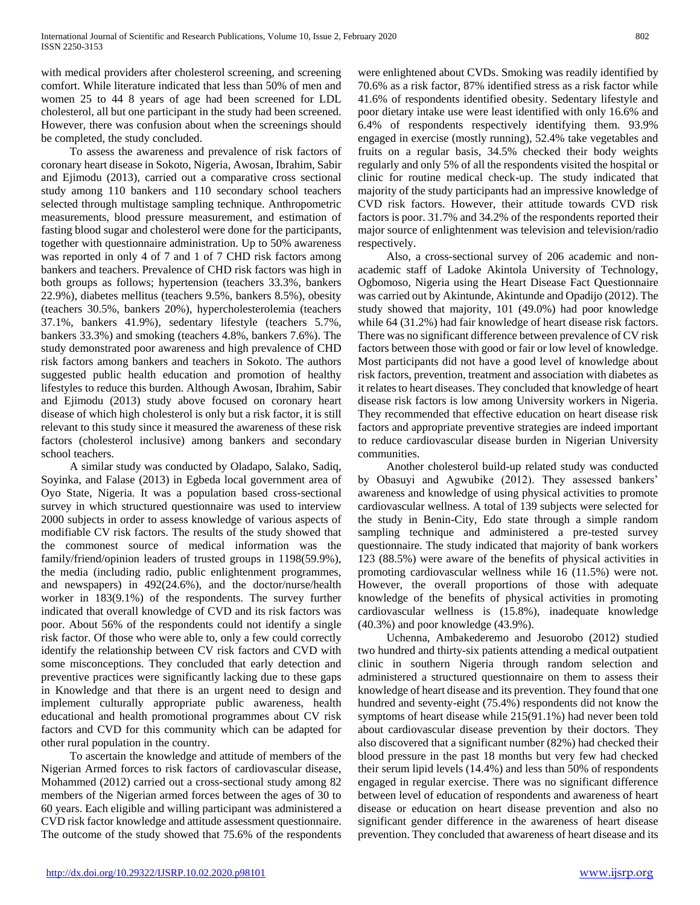with medical providers after cholesterol screening, and screening comfort. While literature indicated that less than 50% of men and women 25 to 44 8 years of age had been screened for LDL cholesterol, all but one participant in the study had been screened. However, there was confusion about when the screenings should be completed, the study concluded.

 To assess the awareness and prevalence of risk factors of coronary heart disease in Sokoto, Nigeria, Awosan, Ibrahim, Sabir and Ejimodu (2013), carried out a comparative cross sectional study among 110 bankers and 110 secondary school teachers selected through multistage sampling technique. Anthropometric measurements, blood pressure measurement, and estimation of fasting blood sugar and cholesterol were done for the participants, together with questionnaire administration. Up to 50% awareness was reported in only 4 of 7 and 1 of 7 CHD risk factors among bankers and teachers. Prevalence of CHD risk factors was high in both groups as follows; hypertension (teachers 33.3%, bankers 22.9%), diabetes mellitus (teachers 9.5%, bankers 8.5%), obesity (teachers 30.5%, bankers 20%), hypercholesterolemia (teachers 37.1%, bankers 41.9%), sedentary lifestyle (teachers 5.7%, bankers 33.3%) and smoking (teachers 4.8%, bankers 7.6%). The study demonstrated poor awareness and high prevalence of CHD risk factors among bankers and teachers in Sokoto. The authors suggested public health education and promotion of healthy lifestyles to reduce this burden. Although Awosan, Ibrahim, Sabir and Ejimodu (2013) study above focused on coronary heart disease of which high cholesterol is only but a risk factor, it is still relevant to this study since it measured the awareness of these risk factors (cholesterol inclusive) among bankers and secondary school teachers.

 A similar study was conducted by Oladapo, Salako, Sadiq, Soyinka, and Falase (2013) in Egbeda local government area of Oyo State, Nigeria. It was a population based cross-sectional survey in which structured questionnaire was used to interview 2000 subjects in order to assess knowledge of various aspects of modifiable CV risk factors. The results of the study showed that the commonest source of medical information was the family/friend/opinion leaders of trusted groups in 1198(59.9%), the media (including radio, public enlightenment programmes, and newspapers) in 492(24.6%), and the doctor/nurse/health worker in 183(9.1%) of the respondents. The survey further indicated that overall knowledge of CVD and its risk factors was poor. About 56% of the respondents could not identify a single risk factor. Of those who were able to, only a few could correctly identify the relationship between CV risk factors and CVD with some misconceptions. They concluded that early detection and preventive practices were significantly lacking due to these gaps in Knowledge and that there is an urgent need to design and implement culturally appropriate public awareness, health educational and health promotional programmes about CV risk factors and CVD for this community which can be adapted for other rural population in the country.

 To ascertain the knowledge and attitude of members of the Nigerian Armed forces to risk factors of cardiovascular disease, Mohammed (2012) carried out a cross-sectional study among 82 members of the Nigerian armed forces between the ages of 30 to 60 years. Each eligible and willing participant was administered a CVD risk factor knowledge and attitude assessment questionnaire. The outcome of the study showed that 75.6% of the respondents were enlightened about CVDs. Smoking was readily identified by 70.6% as a risk factor, 87% identified stress as a risk factor while 41.6% of respondents identified obesity. Sedentary lifestyle and poor dietary intake use were least identified with only 16.6% and 6.4% of respondents respectively identifying them. 93.9% engaged in exercise (mostly running), 52.4% take vegetables and fruits on a regular basis, 34.5% checked their body weights regularly and only 5% of all the respondents visited the hospital or clinic for routine medical check-up. The study indicated that majority of the study participants had an impressive knowledge of CVD risk factors. However, their attitude towards CVD risk factors is poor. 31.7% and 34.2% of the respondents reported their major source of enlightenment was television and television/radio respectively.

 Also, a cross-sectional survey of 206 academic and nonacademic staff of Ladoke Akintola University of Technology, Ogbomoso, Nigeria using the Heart Disease Fact Questionnaire was carried out by Akintunde, Akintunde and Opadijo (2012). The study showed that majority, 101 (49.0%) had poor knowledge while 64 (31.2%) had fair knowledge of heart disease risk factors. There was no significant difference between prevalence of CV risk factors between those with good or fair or low level of knowledge. Most participants did not have a good level of knowledge about risk factors, prevention, treatment and association with diabetes as it relates to heart diseases. They concluded that knowledge of heart disease risk factors is low among University workers in Nigeria. They recommended that effective education on heart disease risk factors and appropriate preventive strategies are indeed important to reduce cardiovascular disease burden in Nigerian University communities.

 Another cholesterol build-up related study was conducted by Obasuyi and Agwubike (2012). They assessed bankers' awareness and knowledge of using physical activities to promote cardiovascular wellness. A total of 139 subjects were selected for the study in Benin-City, Edo state through a simple random sampling technique and administered a pre-tested survey questionnaire. The study indicated that majority of bank workers 123 (88.5%) were aware of the benefits of physical activities in promoting cardiovascular wellness while 16 (11.5%) were not. However, the overall proportions of those with adequate knowledge of the benefits of physical activities in promoting cardiovascular wellness is (15.8%), inadequate knowledge (40.3%) and poor knowledge (43.9%).

 Uchenna, Ambakederemo and Jesuorobo (2012) studied two hundred and thirty-six patients attending a medical outpatient clinic in southern Nigeria through random selection and administered a structured questionnaire on them to assess their knowledge of heart disease and its prevention. They found that one hundred and seventy-eight (75.4%) respondents did not know the symptoms of heart disease while 215(91.1%) had never been told about cardiovascular disease prevention by their doctors. They also discovered that a significant number (82%) had checked their blood pressure in the past 18 months but very few had checked their serum lipid levels (14.4%) and less than 50% of respondents engaged in regular exercise. There was no significant difference between level of education of respondents and awareness of heart disease or education on heart disease prevention and also no significant gender difference in the awareness of heart disease prevention. They concluded that awareness of heart disease and its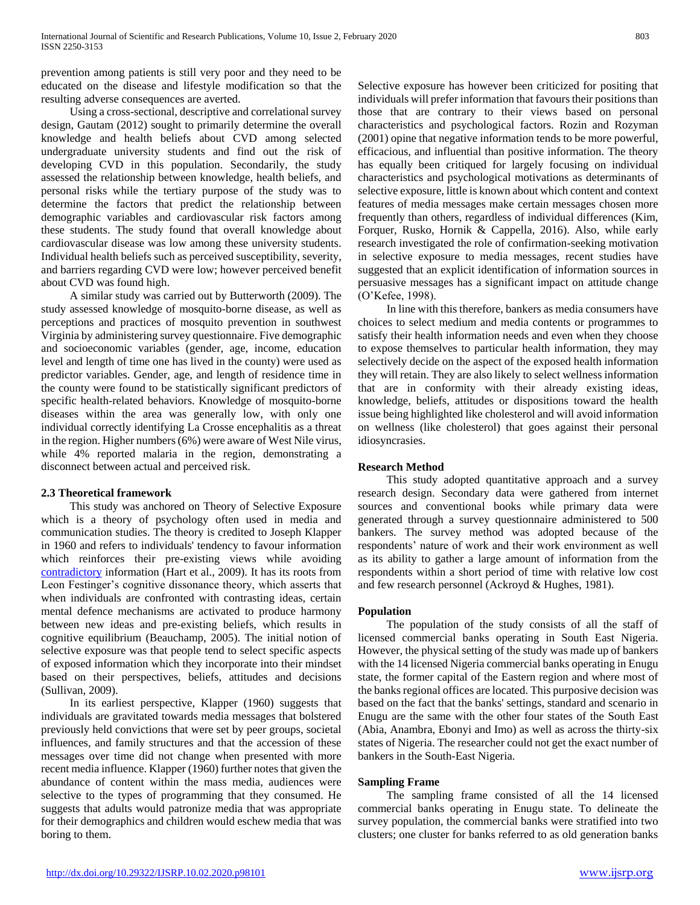prevention among patients is still very poor and they need to be educated on the disease and lifestyle modification so that the resulting adverse consequences are averted.

 Using a cross-sectional, descriptive and correlational survey design, Gautam (2012) sought to primarily determine the overall knowledge and health beliefs about CVD among selected undergraduate university students and find out the risk of developing CVD in this population. Secondarily, the study assessed the relationship between knowledge, health beliefs, and personal risks while the tertiary purpose of the study was to determine the factors that predict the relationship between demographic variables and cardiovascular risk factors among these students. The study found that overall knowledge about cardiovascular disease was low among these university students. Individual health beliefs such as perceived susceptibility, severity, and barriers regarding CVD were low; however perceived benefit about CVD was found high.

 A similar study was carried out by Butterworth (2009). The study assessed knowledge of mosquito-borne disease, as well as perceptions and practices of mosquito prevention in southwest Virginia by administering survey questionnaire. Five demographic and socioeconomic variables (gender, age, income, education level and length of time one has lived in the county) were used as predictor variables. Gender, age, and length of residence time in the county were found to be statistically significant predictors of specific health-related behaviors. Knowledge of mosquito-borne diseases within the area was generally low, with only one individual correctly identifying La Crosse encephalitis as a threat in the region. Higher numbers (6%) were aware of West Nile virus, while 4% reported malaria in the region, demonstrating a disconnect between actual and perceived risk.

## **2.3 Theoretical framework**

 This study was anchored on Theory of Selective Exposure which is a theory of psychology often used in media and communication studies. The theory is credited to Joseph Klapper in 1960 and refers to individuals' tendency to favour information which reinforces their pre-existing views while avoiding [contradictory](https://en.wikipedia.org/wiki/Contradictory) information (Hart et al., 2009). It has its roots from Leon Festinger's cognitive dissonance theory, which asserts that when individuals are confronted with contrasting ideas, certain mental defence mechanisms are activated to produce harmony between new ideas and pre-existing beliefs, which results in cognitive equilibrium (Beauchamp, 2005). The initial notion of selective exposure was that people tend to select specific aspects of exposed information which they incorporate into their mindset based on their perspectives, beliefs, attitudes and decisions (Sullivan, 2009).

 In its earliest perspective, Klapper (1960) suggests that individuals are gravitated towards media messages that bolstered previously held convictions that were set by peer groups, societal influences, and family structures and that the accession of these messages over time did not change when presented with more recent media influence. Klapper (1960) further notes that given the abundance of content within the mass media, audiences were selective to the types of programming that they consumed. He suggests that adults would patronize media that was appropriate for their demographics and children would eschew media that was boring to them.

Selective exposure has however been criticized for positing that individuals will prefer information that favours their positions than those that are contrary to their views based on personal characteristics and psychological factors. Rozin and Rozyman (2001) opine that negative information tends to be more powerful, efficacious, and influential than positive information. The theory has equally been critiqued for largely focusing on individual characteristics and psychological motivations as determinants of selective exposure, little is known about which content and context features of media messages make certain messages chosen more frequently than others, regardless of individual differences (Kim, Forquer, Rusko, Hornik & Cappella, 2016). Also, while early research investigated the role of confirmation-seeking motivation in selective exposure to media messages, recent studies have suggested that an explicit identification of information sources in persuasive messages has a significant impact on attitude change (O'Kefee, 1998).

 In line with this therefore, bankers as media consumers have choices to select medium and media contents or programmes to satisfy their health information needs and even when they choose to expose themselves to particular health information, they may selectively decide on the aspect of the exposed health information they will retain. They are also likely to select wellness information that are in conformity with their already existing ideas, knowledge, beliefs, attitudes or dispositions toward the health issue being highlighted like cholesterol and will avoid information on wellness (like cholesterol) that goes against their personal idiosyncrasies.

## **Research Method**

 This study adopted quantitative approach and a survey research design. Secondary data were gathered from internet sources and conventional books while primary data were generated through a survey questionnaire administered to 500 bankers. The survey method was adopted because of the respondents' nature of work and their work environment as well as its ability to gather a large amount of information from the respondents within a short period of time with relative low cost and few research personnel (Ackroyd & Hughes, 1981).

## **Population**

 The population of the study consists of all the staff of licensed commercial banks operating in South East Nigeria. However, the physical setting of the study was made up of bankers with the 14 licensed Nigeria commercial banks operating in Enugu state, the former capital of the Eastern region and where most of the banks regional offices are located. This purposive decision was based on the fact that the banks' settings, standard and scenario in Enugu are the same with the other four states of the South East (Abia, Anambra, Ebonyi and Imo) as well as across the thirty-six states of Nigeria. The researcher could not get the exact number of bankers in the South-East Nigeria.

## **Sampling Frame**

 The sampling frame consisted of all the 14 licensed commercial banks operating in Enugu state. To delineate the survey population, the commercial banks were stratified into two clusters; one cluster for banks referred to as old generation banks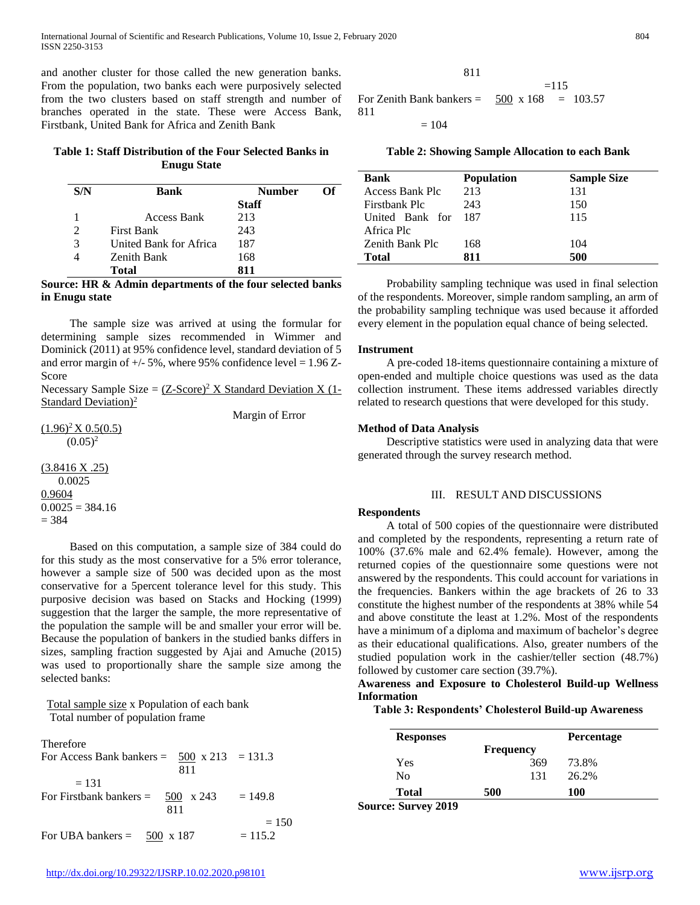and another cluster for those called the new generation banks. From the population, two banks each were purposively selected from the two clusters based on staff strength and number of branches operated in the state. These were Access Bank, Firstbank, United Bank for Africa and Zenith Bank

# **Table 1: Staff Distribution of the Four Selected Banks in Enugu State**

| S/N                         | Bank                   | <b>Number</b> | Оf |
|-----------------------------|------------------------|---------------|----|
|                             |                        | <b>Staff</b>  |    |
|                             | Access Bank            | 213           |    |
| $\mathcal{D}_{\mathcal{L}}$ | <b>First Bank</b>      | 243           |    |
| 3                           | United Bank for Africa | 187           |    |
|                             | <b>Zenith Bank</b>     | 168           |    |
|                             | Total                  | 811           |    |

#### **Source: HR & Admin departments of the four selected banks in Enugu state**

 The sample size was arrived at using the formular for determining sample sizes recommended in Wimmer and Dominick (2011) at 95% confidence level, standard deviation of 5 and error margin of  $+/- 5\%$ , where 95% confidence level = 1.96 Z-Score

Necessary Sample Size =  $(Z\text{-}Score)^2$  X Standard Deviation X (1-Standard Deviation)<sup>2</sup>

Margin of Error

 $(1.96)^2$ X 0.5(0.5)  $(0.05)^2$ 

(3.8416 X .25) 0.0025 0.9604  $0.0025 = 384.16$  $= 384$ 

 Based on this computation, a sample size of 384 could do for this study as the most conservative for a 5% error tolerance, however a sample size of 500 was decided upon as the most conservative for a 5percent tolerance level for this study. This purposive decision was based on Stacks and Hocking (1999) suggestion that the larger the sample, the more representative of the population the sample will be and smaller your error will be. Because the population of bankers in the studied banks differs in sizes, sampling fraction suggested by Ajai and Amuche (2015) was used to proportionally share the sample size among the selected banks:

## Total sample size x Population of each bank Total number of population frame

| <b>Therefore</b><br>For Access Bank bankers = $500 \times 213 = 131.3$<br>811 |                      |
|-------------------------------------------------------------------------------|----------------------|
| $= 131$<br>For Firstbank bankers $=$ 500 x 243<br>811                         | $= 149.8$            |
| For UBA bankers = $500 \times 187$                                            | $= 150$<br>$= 115.2$ |

$$
811 = 115
$$
  
For Zenith Bank banks =  $\frac{500}{168} \times 168 = 103.57$   
= 104

**Table 2: Showing Sample Allocation to each Bank**

| <b>Bank</b>         | <b>Population</b> | <b>Sample Size</b> |
|---------------------|-------------------|--------------------|
| Access Bank Plc     | 213               | 131                |
| Firstbank Plc       | 243               | 150                |
| United Bank for 187 |                   | 115                |
| Africa Plc          |                   |                    |
| Zenith Bank Plc     | 168               | 104                |
| Total               | 811               | 500                |

 Probability sampling technique was used in final selection of the respondents. Moreover, simple random sampling, an arm of the probability sampling technique was used because it afforded every element in the population equal chance of being selected.

#### **Instrument**

811

 A pre-coded 18-items questionnaire containing a mixture of open-ended and multiple choice questions was used as the data collection instrument. These items addressed variables directly related to research questions that were developed for this study.

#### **Method of Data Analysis**

 Descriptive statistics were used in analyzing data that were generated through the survey research method.

#### III. RESULT AND DISCUSSIONS

#### **Respondents**

 A total of 500 copies of the questionnaire were distributed and completed by the respondents, representing a return rate of 100% (37.6% male and 62.4% female). However, among the returned copies of the questionnaire some questions were not answered by the respondents. This could account for variations in the frequencies. Bankers within the age brackets of 26 to 33 constitute the highest number of the respondents at 38% while 54 and above constitute the least at 1.2%. Most of the respondents have a minimum of a diploma and maximum of bachelor's degree as their educational qualifications. Also, greater numbers of the studied population work in the cashier/teller section (48.7%) followed by customer care section (39.7%).

## **Awareness and Exposure to Cholesterol Build-up Wellness Information**

**Table 3: Respondents' Cholesterol Build-up Awareness**

| <b>Responses</b> |                  |     | <b>Percentage</b> |
|------------------|------------------|-----|-------------------|
|                  | <b>Frequency</b> |     |                   |
| Yes              |                  | 369 | 73.8%             |
| No               |                  | 131 | 26.2%             |
| <b>Total</b>     | 500              |     | <b>100</b>        |

**Source: Survey 2019**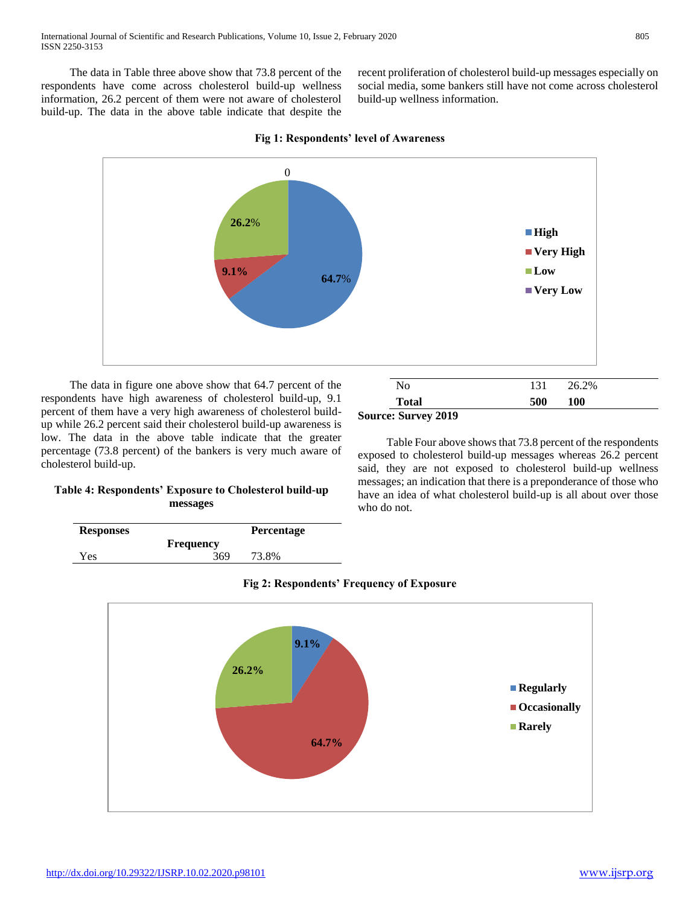The data in Table three above show that 73.8 percent of the respondents have come across cholesterol build-up wellness information, 26.2 percent of them were not aware of cholesterol build-up. The data in the above table indicate that despite the recent proliferation of cholesterol build-up messages especially on social media, some bankers still have not come across cholesterol build-up wellness information.

**Total 500 100**

 Table Four above shows that 73.8 percent of the respondents exposed to cholesterol build-up messages whereas 26.2 percent said, they are not exposed to cholesterol build-up wellness messages; an indication that there is a preponderance of those who have an idea of what cholesterol build-up is all about over those



**Source: Survey 2019**

who do not.

**Fig 1: Respondents' level of Awareness**

 The data in figure one above show that 64.7 percent of the respondents have high awareness of cholesterol build-up, 9.1 percent of them have a very high awareness of cholesterol buildup while 26.2 percent said their cholesterol build-up awareness is low. The data in the above table indicate that the greater percentage (73.8 percent) of the bankers is very much aware of cholesterol build-up.

# **Table 4: Respondents' Exposure to Cholesterol build-up messages**

| <b>Frequency</b>           |  |
|----------------------------|--|
| <b>Yes</b><br>369<br>73.8% |  |



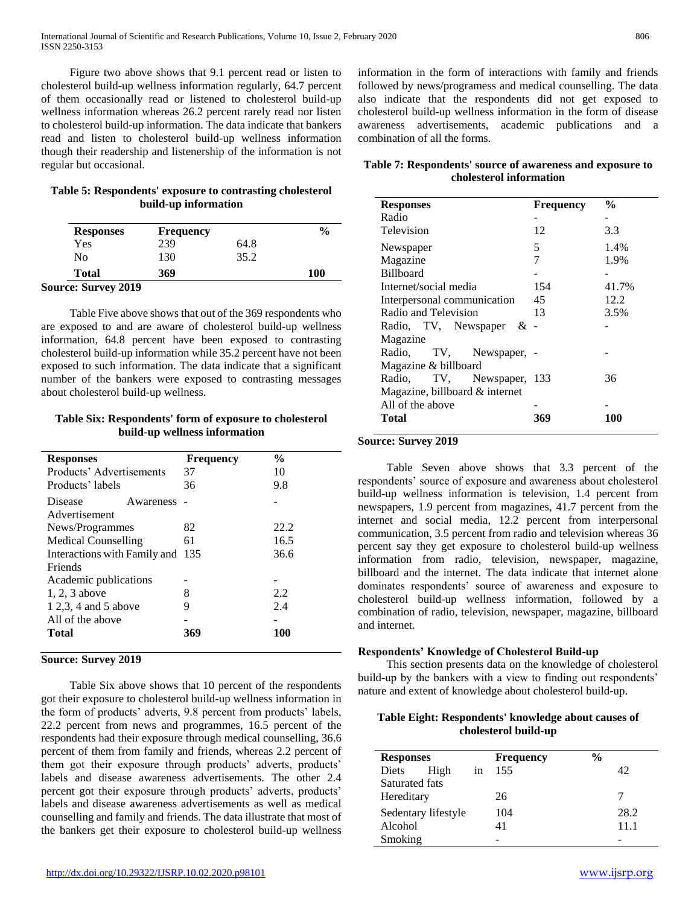Figure two above shows that 9.1 percent read or listen to cholesterol build-up wellness information regularly, 64.7 percent of them occasionally read or listened to cholesterol build-up wellness information whereas 26.2 percent rarely read nor listen to cholesterol build-up information. The data indicate that bankers read and listen to cholesterol build-up wellness information though their readership and listenership of the information is not regular but occasional.

## **Table 5: Respondents' exposure to contrasting cholesterol build-up information**

| <b>Responses</b> | <b>Frequency</b> |      | $\frac{0}{0}$ |
|------------------|------------------|------|---------------|
| Yes              | 239              | 64.8 |               |
| No               | 130              | 35.2 |               |
| <b>Total</b>     | 369              |      | <b>100</b>    |

**Source: Survey 2019**

 Table Five above shows that out of the 369 respondents who are exposed to and are aware of cholesterol build-up wellness information, 64.8 percent have been exposed to contrasting cholesterol build-up information while 35.2 percent have not been exposed to such information. The data indicate that a significant number of the bankers were exposed to contrasting messages about cholesterol build-up wellness.

## **Table Six: Respondents' form of exposure to cholesterol build-up wellness information**

| <b>Responses</b>             | <b>Frequency</b> | $\frac{0}{0}$ |
|------------------------------|------------------|---------------|
| Products' Advertisements     | 37               | 10            |
| Products' labels             | 36               | 9.8           |
| Disease<br>Awareness         |                  |               |
| Advertisement                |                  |               |
| News/Programmes              | 82               | 22.2          |
| Medical Counselling          | 61               | 16.5          |
| Interactions with Family and | 135              | 36.6          |
| Friends                      |                  |               |
| Academic publications        |                  |               |
| 1, 2, 3 above                | 8                | 2.2           |
| 1 2,3, 4 and 5 above         | 9                | 2.4           |
| All of the above             |                  |               |
| Total                        | 369              | 100           |
|                              |                  |               |

## **Source: Survey 2019**

 Table Six above shows that 10 percent of the respondents got their exposure to cholesterol build-up wellness information in the form of products' adverts, 9.8 percent from products' labels, 22.2 percent from news and programmes, 16.5 percent of the respondents had their exposure through medical counselling, 36.6 percent of them from family and friends, whereas 2.2 percent of them got their exposure through products' adverts, products' labels and disease awareness advertisements. The other 2.4 percent got their exposure through products' adverts, products' labels and disease awareness advertisements as well as medical counselling and family and friends. The data illustrate that most of the bankers get their exposure to cholesterol build-up wellness information in the form of interactions with family and friends followed by news/programess and medical counselling. The data also indicate that the respondents did not get exposed to cholesterol build-up wellness information in the form of disease awareness advertisements, academic publications and a combination of all the forms.

# **Table 7: Respondents' source of awareness and exposure to cholesterol information**

| <b>Responses</b>               | <b>Frequency</b> | $\frac{0}{0}$ |
|--------------------------------|------------------|---------------|
| Radio                          |                  |               |
| Television                     | 12               | 3.3           |
| Newspaper                      | 5                | 1.4%          |
| Magazine                       | 7                | 1.9%          |
| <b>Billboard</b>               |                  |               |
| Internet/social media          | 154              | 41.7%         |
| Interpersonal communication    | 45               | 12.2          |
| Radio and Television           | 13               | 3.5%          |
| Radio, TV, Newspaper<br>& -    |                  |               |
| Magazine                       |                  |               |
| Radio, TV, Newspaper,          |                  |               |
| Magazine & billboard           |                  |               |
| Radio, TV, Newspaper, 133      |                  | 36            |
| Magazine, billboard & internet |                  |               |
| All of the above               |                  |               |
| Total                          | 369              | 100           |

# **Source: Survey 2019**

 Table Seven above shows that 3.3 percent of the respondents' source of exposure and awareness about cholesterol build-up wellness information is television, 1.4 percent from newspapers, 1.9 percent from magazines, 41.7 percent from the internet and social media, 12.2 percent from interpersonal communication, 3.5 percent from radio and television whereas 36 percent say they get exposure to cholesterol build-up wellness information from radio, television, newspaper, magazine, billboard and the internet. The data indicate that internet alone dominates respondents' source of awareness and exposure to cholesterol build-up wellness information, followed by a combination of radio, television, newspaper, magazine, billboard and internet.

## **Respondents' Knowledge of Cholesterol Build-up**

 This section presents data on the knowledge of cholesterol build-up by the bankers with a view to finding out respondents' nature and extent of knowledge about cholesterol build-up.

## **Table Eight: Respondents' knowledge about causes of cholesterol build-up**

| <b>Responses</b> |                     |    | <b>Frequency</b> | $\frac{0}{0}$ |      |
|------------------|---------------------|----|------------------|---------------|------|
| Diets            | High                | in | 155              |               | 42   |
| Saturated fats   |                     |    |                  |               |      |
| Hereditary       |                     |    | 26               |               |      |
|                  | Sedentary lifestyle |    | 104              |               | 28.2 |
| Alcohol          |                     |    | 41               |               | 11.1 |
| Smoking          |                     |    |                  |               |      |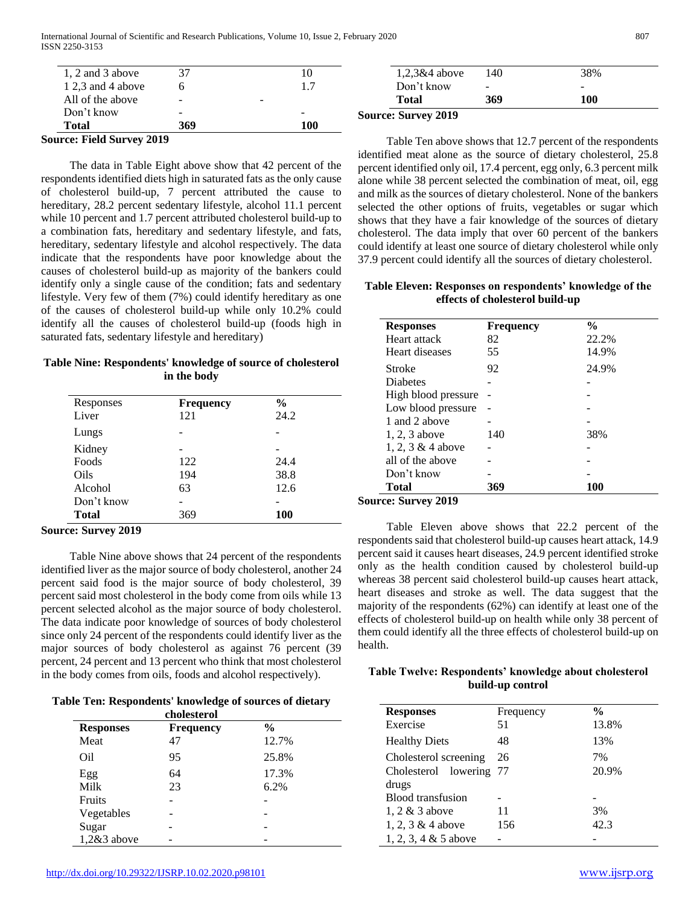| $\cdots$              | $\sim$                   |                          |     |                            |                          |                          |
|-----------------------|--------------------------|--------------------------|-----|----------------------------|--------------------------|--------------------------|
| Total                 | 369                      |                          | 100 |                            |                          |                          |
| Don't know            | $\overline{\phantom{a}}$ |                          |     | <b>Source: Survey 2019</b> |                          |                          |
| All of the above      | $\overline{\phantom{a}}$ | $\overline{\phantom{a}}$ |     | <b>Total</b>               | 369                      | 100                      |
| $1, 2, 3$ and 4 above |                          |                          |     | Don't know                 | $\overline{\phantom{a}}$ | $\overline{\phantom{0}}$ |
| 1, 2 and 3 above      |                          |                          | 10  | $1,2,3\&4$ above           | 140                      | 38%                      |
|                       |                          |                          |     |                            |                          |                          |

**Source: Field Survey 2019**

 The data in Table Eight above show that 42 percent of the respondents identified diets high in saturated fats as the only cause of cholesterol build-up, 7 percent attributed the cause to hereditary, 28.2 percent sedentary lifestyle, alcohol 11.1 percent while 10 percent and 1.7 percent attributed cholesterol build-up to a combination fats, hereditary and sedentary lifestyle, and fats, hereditary, sedentary lifestyle and alcohol respectively. The data indicate that the respondents have poor knowledge about the causes of cholesterol build-up as majority of the bankers could identify only a single cause of the condition; fats and sedentary lifestyle. Very few of them (7%) could identify hereditary as one of the causes of cholesterol build-up while only 10.2% could identify all the causes of cholesterol build-up (foods high in saturated fats, sedentary lifestyle and hereditary)

**Table Nine: Respondents' knowledge of source of cholesterol in the body**

| Responses    | <b>Frequency</b> | $\frac{0}{0}$ |
|--------------|------------------|---------------|
| Liver        | 121              | 24.2          |
| Lungs        |                  |               |
| Kidney       |                  |               |
| Foods        | 122              | 24.4          |
| Oils         | 194              | 38.8          |
| Alcohol      | 63               | 12.6          |
| Don't know   |                  |               |
| <b>Total</b> | 369              | <b>100</b>    |

**Source: Survey 2019**

 Table Nine above shows that 24 percent of the respondents identified liver as the major source of body cholesterol, another 24 percent said food is the major source of body cholesterol, 39 percent said most cholesterol in the body come from oils while 13 percent selected alcohol as the major source of body cholesterol. The data indicate poor knowledge of sources of body cholesterol since only 24 percent of the respondents could identify liver as the major sources of body cholesterol as against 76 percent (39 percent, 24 percent and 13 percent who think that most cholesterol in the body comes from oils, foods and alcohol respectively).

**Table Ten: Respondents' knowledge of sources of dietary cholesterol**

| <b>Responses</b> | <b>Frequency</b> | $\frac{6}{9}$ |  |
|------------------|------------------|---------------|--|
| Meat             | 47               | 12.7%         |  |
| Oil              | 95               | 25.8%         |  |
| Egg              | 64               | 17.3%         |  |
| Milk             | 23               | 6.2%          |  |
| <b>Fruits</b>    |                  |               |  |
| Vegetables       |                  |               |  |
| Sugar            |                  |               |  |
| 1,2&3 above      |                  |               |  |

 Table Ten above shows that 12.7 percent of the respondents identified meat alone as the source of dietary cholesterol, 25.8 percent identified only oil, 17.4 percent, egg only, 6.3 percent milk alone while 38 percent selected the combination of meat, oil, egg and milk as the sources of dietary cholesterol. None of the bankers selected the other options of fruits, vegetables or sugar which shows that they have a fair knowledge of the sources of dietary cholesterol. The data imply that over 60 percent of the bankers could identify at least one source of dietary cholesterol while only 37.9 percent could identify all the sources of dietary cholesterol.

## **Table Eleven: Responses on respondents' knowledge of the effects of cholesterol build-up**

| <b>Responses</b>    | <b>Frequency</b> | $\frac{6}{9}$ |
|---------------------|------------------|---------------|
| Heart attack        | 82               | 22.2%         |
| Heart diseases      | 55               | 14.9%         |
| <b>Stroke</b>       | 92               | 24.9%         |
| <b>Diabetes</b>     |                  |               |
| High blood pressure |                  |               |
| Low blood pressure  |                  |               |
| 1 and 2 above       |                  |               |
| 1, 2, 3 above       | 140              | 38%           |
| 1, 2, 3 $&$ 4 above |                  |               |
| all of the above    |                  |               |
| Don't know          |                  |               |
| <b>Total</b>        | 369              | 100           |

**Source: Survey 2019**

 Table Eleven above shows that 22.2 percent of the respondents said that cholesterol build-up causes heart attack, 14.9 percent said it causes heart diseases, 24.9 percent identified stroke only as the health condition caused by cholesterol build-up whereas 38 percent said cholesterol build-up causes heart attack, heart diseases and stroke as well. The data suggest that the majority of the respondents (62%) can identify at least one of the effects of cholesterol build-up on health while only 38 percent of them could identify all the three effects of cholesterol build-up on health.

## **Table Twelve: Respondents' knowledge about cholesterol build-up control**

| <b>Responses</b>        | Frequency | $\frac{0}{0}$ |
|-------------------------|-----------|---------------|
| Exercise                | 51        | 13.8%         |
| <b>Healthy Diets</b>    | 48        | 13%           |
| Cholesterol screening   | 26        | 7%            |
| Cholesterol lowering 77 |           | 20.9%         |
| drugs                   |           |               |
| Blood transfusion       |           |               |
| 1, $2 \& 3$ above       | 11        | 3%            |
| 1, 2, 3 $&$ 4 above     | 156       | 42.3          |
| 1, 2, 3, 4 $& 5$ above  |           |               |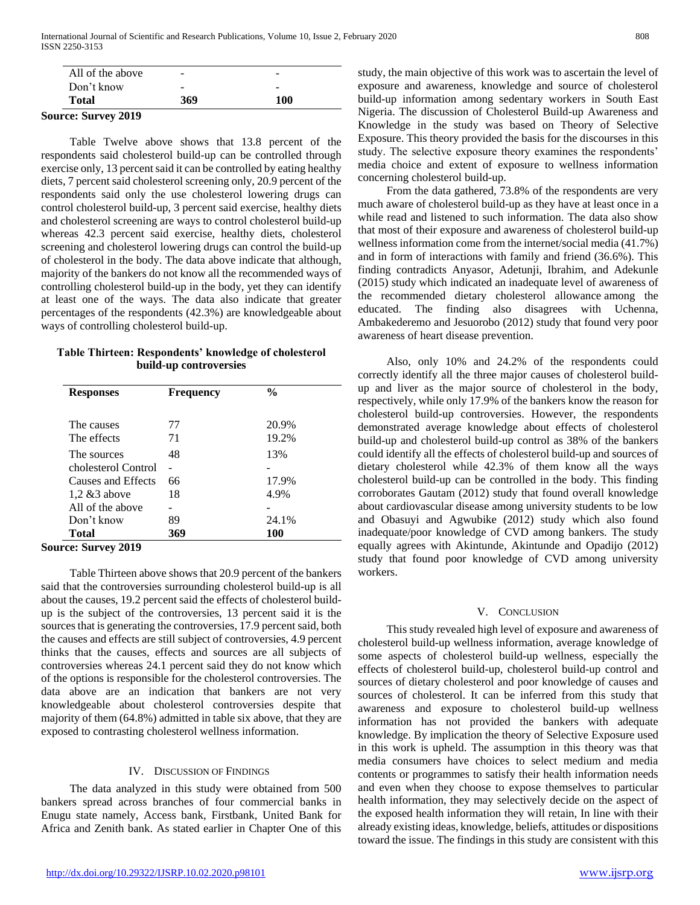| <b>Source: Survey 2019</b> |     |     |  |
|----------------------------|-----|-----|--|
| Total                      | 369 | 100 |  |
| Don't know                 | -   | -   |  |
| All of the above           | -   | -   |  |

 Table Twelve above shows that 13.8 percent of the respondents said cholesterol build-up can be controlled through exercise only, 13 percent said it can be controlled by eating healthy diets, 7 percent said cholesterol screening only, 20.9 percent of the respondents said only the use cholesterol lowering drugs can control cholesterol build-up, 3 percent said exercise, healthy diets and cholesterol screening are ways to control cholesterol build-up whereas 42.3 percent said exercise, healthy diets, cholesterol screening and cholesterol lowering drugs can control the build-up of cholesterol in the body. The data above indicate that although, majority of the bankers do not know all the recommended ways of controlling cholesterol build-up in the body, yet they can identify at least one of the ways. The data also indicate that greater percentages of the respondents (42.3%) are knowledgeable about ways of controlling cholesterol build-up.

## **Table Thirteen: Respondents' knowledge of cholesterol build-up controversies**

| <b>Responses</b>    | <b>Frequency</b> | $\frac{0}{0}$ |
|---------------------|------------------|---------------|
| The causes          | 77               | 20.9%         |
| The effects         | 71               | 19.2%         |
| The sources         | 48               | 13%           |
| cholesterol Control |                  |               |
| Causes and Effects  | 66               | 17.9%         |
| $1,2 \& 3$ above    | 18               | 4.9%          |
| All of the above    |                  |               |
| Don't know          | 89               | 24.1%         |
| Total               | 369              | 100           |

**Source: Survey 2019**

 Table Thirteen above shows that 20.9 percent of the bankers said that the controversies surrounding cholesterol build-up is all about the causes, 19.2 percent said the effects of cholesterol buildup is the subject of the controversies, 13 percent said it is the sources that is generating the controversies, 17.9 percent said, both the causes and effects are still subject of controversies, 4.9 percent thinks that the causes, effects and sources are all subjects of controversies whereas 24.1 percent said they do not know which of the options is responsible for the cholesterol controversies. The data above are an indication that bankers are not very knowledgeable about cholesterol controversies despite that majority of them (64.8%) admitted in table six above, that they are exposed to contrasting cholesterol wellness information.

# IV. DISCUSSION OF FINDINGS

 The data analyzed in this study were obtained from 500 bankers spread across branches of four commercial banks in Enugu state namely, Access bank, Firstbank, United Bank for Africa and Zenith bank. As stated earlier in Chapter One of this

study, the main objective of this work was to ascertain the level of exposure and awareness, knowledge and source of cholesterol build-up information among sedentary workers in South East Nigeria. The discussion of Cholesterol Build-up Awareness and Knowledge in the study was based on Theory of Selective Exposure. This theory provided the basis for the discourses in this study. The selective exposure theory examines the respondents' media choice and extent of exposure to wellness information concerning cholesterol build-up.

 From the data gathered, 73.8% of the respondents are very much aware of cholesterol build-up as they have at least once in a while read and listened to such information. The data also show that most of their exposure and awareness of cholesterol build-up wellness information come from the internet/social media (41.7%) and in form of interactions with family and friend (36.6%). This finding contradicts Anyasor, Adetunji, Ibrahim, and Adekunle (2015) study which indicated an inadequate level of awareness of the recommended dietary cholesterol allowance among the educated. The finding also disagrees with Uchenna, Ambakederemo and Jesuorobo (2012) study that found very poor awareness of heart disease prevention.

 Also, only 10% and 24.2% of the respondents could correctly identify all the three major causes of cholesterol buildup and liver as the major source of cholesterol in the body, respectively, while only 17.9% of the bankers know the reason for cholesterol build-up controversies. However, the respondents demonstrated average knowledge about effects of cholesterol build-up and cholesterol build-up control as 38% of the bankers could identify all the effects of cholesterol build-up and sources of dietary cholesterol while 42.3% of them know all the ways cholesterol build-up can be controlled in the body. This finding corroborates Gautam (2012) study that found overall knowledge about cardiovascular disease among university students to be low and Obasuyi and Agwubike (2012) study which also found inadequate/poor knowledge of CVD among bankers. The study equally agrees with Akintunde, Akintunde and Opadijo (2012) study that found poor knowledge of CVD among university workers.

## V. CONCLUSION

 This study revealed high level of exposure and awareness of cholesterol build-up wellness information, average knowledge of some aspects of cholesterol build-up wellness, especially the effects of cholesterol build-up, cholesterol build-up control and sources of dietary cholesterol and poor knowledge of causes and sources of cholesterol. It can be inferred from this study that awareness and exposure to cholesterol build-up wellness information has not provided the bankers with adequate knowledge. By implication the theory of Selective Exposure used in this work is upheld. The assumption in this theory was that media consumers have choices to select medium and media contents or programmes to satisfy their health information needs and even when they choose to expose themselves to particular health information, they may selectively decide on the aspect of the exposed health information they will retain, In line with their already existing ideas, knowledge, beliefs, attitudes or dispositions toward the issue. The findings in this study are consistent with this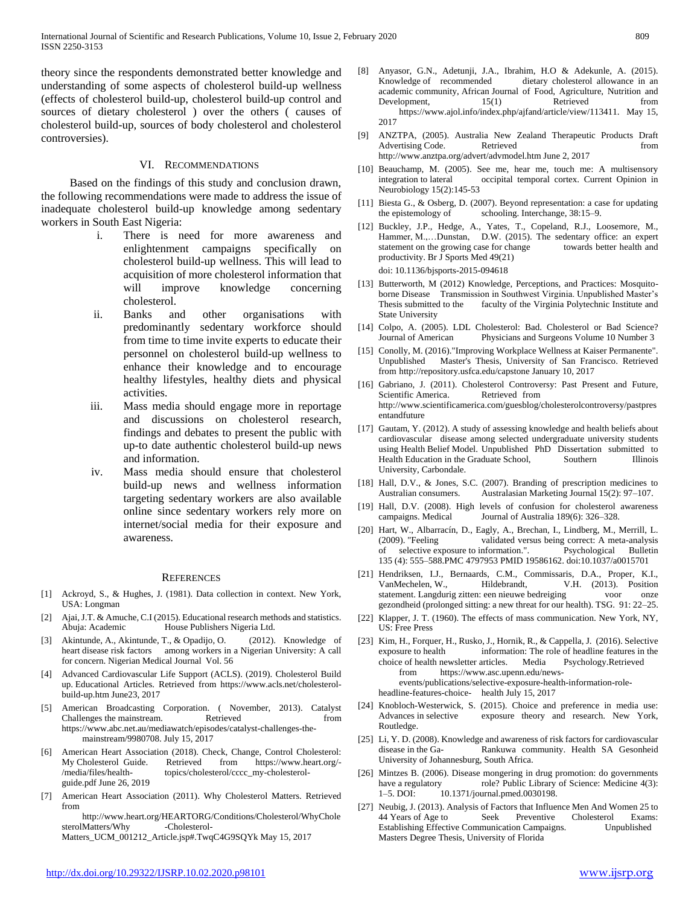theory since the respondents demonstrated better knowledge and understanding of some aspects of cholesterol build-up wellness (effects of cholesterol build-up, cholesterol build-up control and sources of dietary cholesterol ) over the others ( causes of cholesterol build-up, sources of body cholesterol and cholesterol controversies).

## VI. RECOMMENDATIONS

 Based on the findings of this study and conclusion drawn, the following recommendations were made to address the issue of inadequate cholesterol build-up knowledge among sedentary workers in South East Nigeria:

- i. There is need for more awareness and enlightenment campaigns specifically on cholesterol build-up wellness. This will lead to acquisition of more cholesterol information that will improve knowledge concerning cholesterol.
- ii. Banks and other organisations with predominantly sedentary workforce should from time to time invite experts to educate their personnel on cholesterol build-up wellness to enhance their knowledge and to encourage healthy lifestyles, healthy diets and physical activities.
- iii. Mass media should engage more in reportage and discussions on cholesterol research, findings and debates to present the public with up-to date authentic cholesterol build-up news and information.
- iv. Mass media should ensure that cholesterol build-up news and wellness information targeting sedentary workers are also available online since sedentary workers rely more on internet/social media for their exposure and awareness.

#### **REFERENCES**

- [1] Ackroyd, S., & Hughes, J. (1981). Data collection in context. New York, USA: Longman
- [2] Ajai, J.T. & Amuche, C.I (2015). Educational research methods and statistics. Abuja: Academic House Publishers Nigeria Ltd.
- [3] Akintunde, A., Akintunde, T., & Opadijo, O. (2012). Knowledge of heart disease risk factors among workers in a Nigerian University: A call for concern. Nigerian Medical Journal Vol. 56
- [4] Advanced Cardiovascular Life Support (ACLS). (2019). Cholesterol Build up. Educational Articles. Retrieved from https://www.acls.net/cholesterolbuild-up.htm June23, 2017
- American Broadcasting Corporation. ( November, 2013). Catalyst Challenges the mainstream. Retrieved from from  $\blacksquare$ https://www.abc.net.au/mediawatch/episodes/catalyst-challenges-themainstream/9980708. July 15, 2017
- [6] American Heart Association (2018). Check, Change, Control Cholesterol: My Cholesterol Guide. Retrieved from https://www.heart.org/-<br>/media/files/health- topics/cholesterol/cccc\_my-cholesteroltopics/cholesterol/cccc\_my-cholesterolguide.pdf June 26, 2019
- [7] American Heart Association (2011). Why Cholesterol Matters. Retrieved from

http://www.heart.org/HEARTORG/Conditions/Cholesterol/WhyChole sterolMatters/Why -Cholesterol-Matters\_UCM\_001212\_Article.jsp#.TwqC4G9SQYk May 15, 2017

- [8] Anyasor, G.N., Adetunji, J.A., Ibrahim, H.O & Adekunle, A. (2015). Knowledge of recommended dietary cholesterol allowance in an academic community, African Journal of Food, Agriculture, Nutrition and Development,  $15(1)$  Retrieved from https://www.ajol.info/index.php/ajfand/article/view/113411. May 15, 2017
	- [9] ANZTPA, (2005). Australia New Zealand Therapeutic Products Draft Advertising Code. Retrieved from from http://www.anztpa.org/advert/advmodel.htm June 2, 2017
	- [10] Beauchamp, M. (2005). See me, hear me, touch me: A multisensory integration to lateral occipital temporal cortex. Current Opinion in Neurobiology 15(2):145-53
	- [11] Biesta G., & Osberg, D. (2007). Beyond representation: a case for updating the epistemology of schooling. Interchange, 38:15–9.
	- [12] Buckley, J.P., Hedge, A., Yates, T., Copeland, R.J., Loosemore, M., Hammer, M.,…Dunstan, D.W. (2015). The sedentary office: an expert statement on the growing case for change towards better health and productivity. Br J Sports Med 49(21) doi: 10.1136/bjsports-2015-094618
	- [13] Butterworth, M (2012) Knowledge, Perceptions, and Practices: Mosquitoborne Disease Transmission in Southwest Virginia. Unpublished Master's Thesis submitted to the faculty of the Virginia Polytechnic Institute and State University
	- [14] Colpo, A. (2005). LDL Cholesterol: Bad. Cholesterol or Bad Science? Journal of American Physicians and Surgeons Volume 10 Number 3
	- [15] Conolly, M. (2016)."Improving Workplace Wellness at Kaiser Permanente". Unpublished Master's Thesis, University of San Francisco. Retrieved from http://repository.usfca.edu/capstone January 10, 2017
	- [16] Gabriano, J. (2011). Cholesterol Controversy: Past Present and Future, Scientific America. Retrieved from http://www.scientificamerica.com/guesblog/cholesterolcontroversy/pastpres entandfuture
	- [17] Gautam, Y. (2012). A study of assessing knowledge and health beliefs about cardiovascular disease among selected undergraduate university students using Health Belief Model. Unpublished PhD Dissertation submitted to Health Education in the Graduate School, Southern Illinois University, Carbondale.
	- [18] Hall, D.V., & Jones, S.C. (2007). Branding of prescription medicines to Australian consumers. Australasian Marketing Journal 15(2): 97–107.
	- [19] Hall, D.V. (2008). High levels of confusion for cholesterol awareness campaigns. Medical Journal of Australia 189(6): 326–328.
	- [20] Hart, W., Albarracín, D., Eagly, A., Brechan, I., Lindberg, M., Merrill, L. (2009). "Feeling validated versus being correct: A meta-analysis of selective exposure to information.". Psychological Bulletin 135 (4): 555–588.PMC 4797953 PMID 19586162. doi:10.1037/a0015701
	- [21] Hendriksen, I.J., Bernaards, C.M., Commissaris, D.A., Proper, K.I., VanMechelen, W., Hildebrandt, V.H. (2013). Position statement. Langdurig zitten: een nieuwe bedreiging voor onze gezondheid (prolonged sitting: a new threat for our health). TSG. 91: 22–25.
	- [22] Klapper, J. T. (1960). The effects of mass communication. New York, NY, US: Free Press
	- [23] Kim, H., Forquer, H., Rusko, J., Hornik, R., & Cappella, J. (2016). Selective exposure to health information: The role of headline features in the choice of health newsletter articles. Media Psychology.Retrieved from https://www.asc.upenn.edu/newsevents/publications/selective-exposure-health-information-roleheadline-features-choice- health July 15, 2017
	- [24] Knobloch-Westerwick, S. (2015). Choice and preference in media use: Advances in selective exposure theory and research. New York, Routledge.
	- [25] Li, Y. D. (2008). Knowledge and awareness of risk factors for cardiovascular disease in the Ga- Rankuwa community. Health SA Gesonheid University of Johannesburg, South Africa.
	- [26] Mintzes B. (2006). Disease mongering in drug promotion: do governments have a regulatory role? Public Library of Science: Medicine 4(3): 1–5. DOI: 10.1371/journal.pmed.0030198.
	- [27] Neubig, J. (2013). Analysis of Factors that Influence Men And Women 25 to 44 Years of Age to Seek Preventive Cholesterol Exams:<br>
	Establishing Effective Communication Campaigns. Unpublished Establishing Effective Communication Campaigns. Masters Degree Thesis, University of Florida